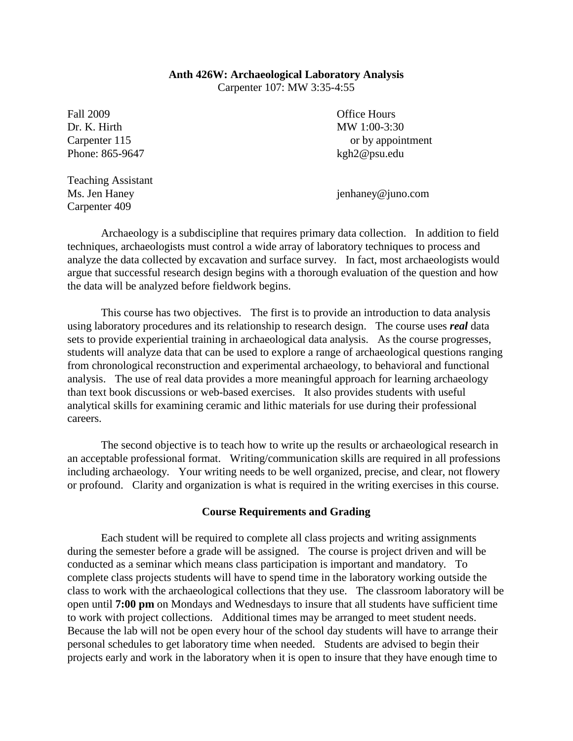## **Anth 426W: Archaeological Laboratory Analysis**

Carpenter 107: MW 3:35-4:55

Fall 2009 **Contract Contract Contract Contract Contract Contract Contract Contract Contract Contract Contract Contract Contract Contract Contract Contract Contract Contract Contract Contract Contract Contract Contract Cont** Dr. K. Hirth MW 1:00-3:30 Phone: 865-9647 kgh2@psu.edu

Carpenter 115 or by appointment

Teaching Assistant Carpenter 409

Ms. Jen Haney intervals and the set of the set of the set of the set of the set of the set of the set of the set of the set of the set of the set of the set of the set of the set of the set of the set of the set of the set

Archaeology is a subdiscipline that requires primary data collection. In addition to field techniques, archaeologists must control a wide array of laboratory techniques to process and analyze the data collected by excavation and surface survey. In fact, most archaeologists would argue that successful research design begins with a thorough evaluation of the question and how the data will be analyzed before fieldwork begins.

This course has two objectives. The first is to provide an introduction to data analysis using laboratory procedures and its relationship to research design. The course uses *real* data sets to provide experiential training in archaeological data analysis. As the course progresses, students will analyze data that can be used to explore a range of archaeological questions ranging from chronological reconstruction and experimental archaeology, to behavioral and functional analysis. The use of real data provides a more meaningful approach for learning archaeology than text book discussions or web-based exercises. It also provides students with useful analytical skills for examining ceramic and lithic materials for use during their professional careers.

The second objective is to teach how to write up the results or archaeological research in an acceptable professional format. Writing/communication skills are required in all professions including archaeology. Your writing needs to be well organized, precise, and clear, not flowery or profound. Clarity and organization is what is required in the writing exercises in this course.

## **Course Requirements and Grading**

Each student will be required to complete all class projects and writing assignments during the semester before a grade will be assigned. The course is project driven and will be conducted as a seminar which means class participation is important and mandatory. To complete class projects students will have to spend time in the laboratory working outside the class to work with the archaeological collections that they use. The classroom laboratory will be open until **7:00 pm** on Mondays and Wednesdays to insure that all students have sufficient time to work with project collections. Additional times may be arranged to meet student needs. Because the lab will not be open every hour of the school day students will have to arrange their personal schedules to get laboratory time when needed. Students are advised to begin their projects early and work in the laboratory when it is open to insure that they have enough time to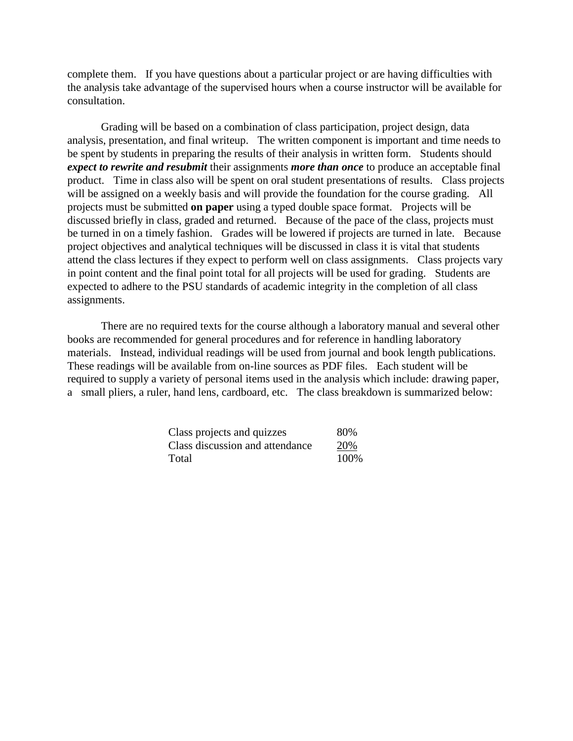complete them. If you have questions about a particular project or are having difficulties with the analysis take advantage of the supervised hours when a course instructor will be available for consultation.

Grading will be based on a combination of class participation, project design, data analysis, presentation, and final writeup. The written component is important and time needs to be spent by students in preparing the results of their analysis in written form. Students should *expect to rewrite and resubmit* their assignments *more than once* to produce an acceptable final product. Time in class also will be spent on oral student presentations of results. Class projects will be assigned on a weekly basis and will provide the foundation for the course grading. All projects must be submitted **on paper** using a typed double space format. Projects will be discussed briefly in class, graded and returned. Because of the pace of the class, projects must be turned in on a timely fashion. Grades will be lowered if projects are turned in late. Because project objectives and analytical techniques will be discussed in class it is vital that students attend the class lectures if they expect to perform well on class assignments. Class projects vary in point content and the final point total for all projects will be used for grading. Students are expected to adhere to the PSU standards of academic integrity in the completion of all class assignments.

There are no required texts for the course although a laboratory manual and several other books are recommended for general procedures and for reference in handling laboratory materials. Instead, individual readings will be used from journal and book length publications. These readings will be available from on-line sources as PDF files. Each student will be required to supply a variety of personal items used in the analysis which include: drawing paper, a small pliers, a ruler, hand lens, cardboard, etc. The class breakdown is summarized below:

| Class projects and quizzes      | 80%  |
|---------------------------------|------|
| Class discussion and attendance | 20%  |
| Total                           | 100% |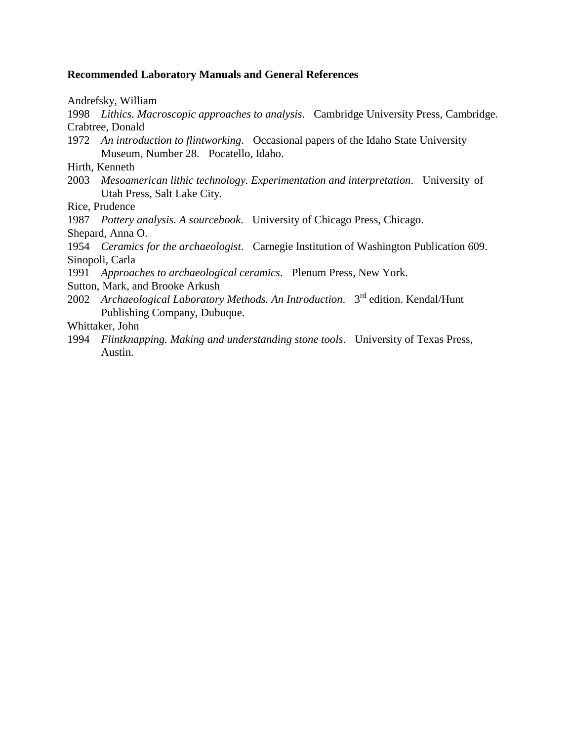## **Recommended Laboratory Manuals and General References**

Andrefsky, William

1998 *Lithics. Macroscopic approaches to analysis*. Cambridge University Press, Cambridge. Crabtree, Donald

- 1972 *An introduction to flintworking*. Occasional papers of the Idaho State University Museum, Number 28. Pocatello, Idaho.
- Hirth, Kenneth
- 2003 *Mesoamerican lithic technology. Experimentation and interpretation*. University of Utah Press, Salt Lake City.

Rice, Prudence

1987 *Pottery analysis. A sourcebook*. University of Chicago Press, Chicago.

Shepard, Anna O.

1954 *Ceramics for the archaeologist*. Carnegie Institution of Washington Publication 609. Sinopoli, Carla

1991 *Approaches to archaeological ceramics*. Plenum Press, New York.

Sutton, Mark, and Brooke Arkush

2002 *Archaeological Laboratory Methods. An Introduction*. 3rd edition. Kendal/Hunt Publishing Company, Dubuque.

Whittaker, John

1994 *Flintknapping. Making and understanding stone tools*. University of Texas Press, Austin.